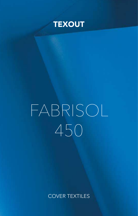

# TRASMISSIONE TERMICA *THERMIC TRANSMISSION SOLIDS* FABRISOL 450

## COVER TEXTILES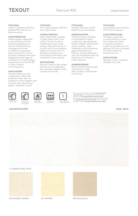#### TIPOLOGIA

Tessuto in poliestere 550 Dtex spalmato PVC due lati con laccatura acrilica.

#### **CARATTERISTICHE**

Tessuto leggero, disponibile in versione opaca e lucida. Grazie alla spalmatura sui due lati, risulta facilmente maneggevole durante la confezione e garantisce ottime prestazioni in termini di durata e resistenza del colore all'aggressione dei raggi UV e allo sporco. È inoltre ignifugo secondo le norme francesi M2 e Classe 2 italiana. 5 anni di garanzia. to state thanks to the 2-side 2 standards. 5 year warranty. Artistische Epide offisialen version in die eine das der Artistischen der glanzenden vorhältlich. Das Material amanipuler pendant la<br>Grazie alla spalmatura sui handle thanks to the 2-side Version erhältlich. Das Material à *YEARS WARRANTY* 

#### APPLICAZIONI SPECIFICHE

Fabrisol è ideale per tutte le applicazioni relative alla protezione solare dove sia necessario un peso leggero quali:<br>tende da sole, coperture per necessano un peso reggero q<br>tende da sole, coperture per gazebo, capottine e tunnel. That is a straight that the straight of the straight of the straight of the straight of the straight of the straight of the straight of the straight of the straight of the straight of the straig nd die dere, de plei time per<br>ebo, capottine e tunnel. 10 *AC COATED*



*PVC COATED*

*DOUBLE-SIDE*

VIAIU PVC<br>-----JUAI ED *HD POLYETHYLENE*





BILACCATO *DOUBLE-SIDE LACQUERED* 31LACCATO<br>DOUBLE-SIDE  $\circ$  ic

www IGNIFUGO *FIRE RETARDANT* **IMPERMEABILE** *YEARS WARRANTY DIRT-REPELLENT WATERPROOF*

**TYPOLOGY** 

with acrilyc lacquer. **CHARACTERISTICS** Light weight textile, available in glossy colours and in mat version. The item is easy to

APPLICATIONS

canopies and tunnels.

PVC coated Polyester 550 Dtex

coating. High performance on duration and colours resistance against UV-rays and dirt. Fire retardant according to the<br>
French M2 and the Italian French M2 and the Italian Class

Fabrisol is ideal for light weight and anti-UV rays applications and anti-UV rays applications<br>like sunshades, gazebos, Dutch



5

**TYPOLOGIE** 

Polyester 550 Dtex mit PVC-Beschichtung und Acryllack.

#### **EIGENSCHAFTEN**

Leichtes Gewebe, verfügbar in verschiedenen Farben, in glanzloser oder glänzender TRATTAMENTO ELIMINARE? ist sehr handlich. Hohe Haltbarkeit und Farberhaltung gegen UV-Strahlen und Schmutz. Schwerentflammbar nach der französischen M2 und italianschen CL.2 Normen. **5 Jahre Garantie.** 

#### ANWENDUNGEN

Ideal für leichte Anwendungen und bei Sonne z. Bsp. APPLICAZIONI and the sandwards and tunnels. The and the set of some Eliminary service in the same service in the service in the service in the service in the service in the service in the service in the service in the serv und Tunnels. *DIRT-REPELLENT*

## **TYPOLOGIE**

Toile polyester avec enduction PVC et vernis acrylique.

#### **CARACTÉRISTIQUES**

Toile légere, disponible en coloris brillants ou mate. Vernis biface donc facile à manipuler pendant la confection et résistent aux UV. Ignifuge: M2 (norme française) CL2 (norme italienne). Garantie de 5 ans.

#### **APPLICATIONS**

**APPEATIONS**<br>Idéal pour stores, chapiteaux, corbeilles et tunnels.



Per la garanzia completa, visitare www.giovanardi.<br>
com/warranty For complete information about<br>
warranty visit www.giovanardi.com/warranty<br>
Für weitere Informationen über die Garantie besuchen<br>
Sie www.giovanardi.com/warr

**COD. 8074** 



#### 112 BIANCO (RAL 9016)





244 AVORIO CHIARO 227 AVORIO 295 NOCCIOLA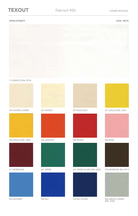#### OPACO/MATT COD. 8075



112 BIANCO (RAL 9016)



244 AVORIO CHIARO



224 GIALLO (RAL 1003)





525 AZZURRO



661 VERDE









621 VERDE SCURO (RAL 6026) 417 BORDEAUX 720 MARRONE (RAL 8017)



500 BLU 532 BLU SCURO



227 AVORIO 295 NOCCIOLA 221 GIALLO (RAL 1021)



485 ROSA





866 GRIGIO CHIARO (RAL 7038)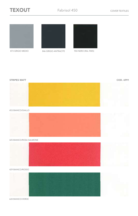



873 GRIGIO MEDIO 846 GRIGIO ANTRACITE 904 NERO (RAL 9005)



| <b>STRIPES MATT</b>     | COD. 6991 |
|-------------------------|-----------|
|                         |           |
| 453 BIANCO/GIALLO       |           |
|                         |           |
| 425 BIANCO/ROSA SALMONE |           |
|                         |           |
| 429 BIANCO/ROSSO        |           |
|                         |           |

624 BIANCO/VERDE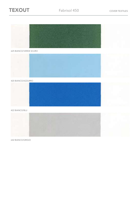



625 BIANCO/VERDE SCURO



420 BIANCO/AZZURRO



422 BIANCO/BLU



642 BIANCO/GRIGIO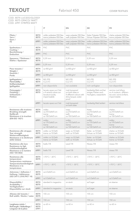#### COD. 8074 LUCIDO/GLOSSY COD. 8075 OPACO/ MATT COD. 6991 STRIPES MATT

|                                                                                                                                     |                      | IT                                                                                       | <b>EN</b>                                                                                        | DE                                                                       | <b>FR</b>                                                                                 |
|-------------------------------------------------------------------------------------------------------------------------------------|----------------------|------------------------------------------------------------------------------------------|--------------------------------------------------------------------------------------------------|--------------------------------------------------------------------------|-------------------------------------------------------------------------------------------|
| Filato /<br>Yarn /                                                                                                                  | 8074<br>8075         | ordito: poliestere 550 Dtex<br>trama: poliestere 550 Dtex                                | warp: polyester 550 Dtex<br>weft: polyester 550 Dtex                                             | Kette: Polyester 550 Dtex<br>Schuss: Polyester 550 Dtex                  | chaîne: polyester 550 Dtex<br>trame: polyester 550 Dtex                                   |
| Garn /<br>Fil                                                                                                                       | 6991                 | ordito: poliestere 550 Dtex<br>trama: poliestere 550 Dtex                                | warp: polyester 550 Dtex<br>weft: polyester 550 Dtex                                             | ordito: poliestere 550 Dtex<br>trama: poliestere 550 Dtex                | ordito: poliestere 550 Dtex<br>trama: poliestere 550 Dtex                                 |
| Spalmatura /<br>Coating /<br>Beschichtung /<br><b>Enduction</b>                                                                     | 8074<br>8075         | <b>PVC</b>                                                                               | <b>PVC</b>                                                                                       | <b>PVC</b>                                                               | <b>PVC</b>                                                                                |
|                                                                                                                                     | 6991                 | <b>PVC</b>                                                                               | <b>PVC</b>                                                                                       | <b>PVC</b>                                                               | <b>PVC</b>                                                                                |
| Spessore / Thickness /<br>Stärke / Epaisseur                                                                                        | 8074<br>8075         | $0.39$ mm                                                                                | $0.39$ mm                                                                                        | 0,39 mm                                                                  | $0.39$ mm                                                                                 |
|                                                                                                                                     | 6991                 | $0,39$ mm                                                                                | $0,39$ mm                                                                                        | $0,39$ mm                                                                | 0,39 mm                                                                                   |
| Peso tessuto /<br>Weight /                                                                                                          | 8074<br>8075         | ca 450 g/m <sup>2</sup>                                                                  | ca 450 g/m <sup>2</sup>                                                                          | ca 450 g/m <sup>2</sup>                                                  | ca 450 g/m <sup>2</sup>                                                                   |
| Gewicht /<br>Poids                                                                                                                  | 6991                 | ca 450 g/m <sup>2</sup>                                                                  | ca 450 g/m <sup>2</sup>                                                                          | ca 450 g/m <sup>2</sup>                                                  | ca 450 g/m <sup>2</sup>                                                                   |
| Ignifugazione /<br>Flammability /                                                                                                   | 8074<br>8075         | M2 (FR)<br>$CL2$ (IT)                                                                    | M2 (FR)<br>$CL2$ (IT)                                                                            | M2 (FR)<br>$CL2$ (IT)                                                    | $M2$ (FR)<br>$CL2$ (IT)                                                                   |
| Entflammbarkeit /<br>Ignifugation                                                                                                   | 6991                 | non disponibile                                                                          | not available                                                                                    | nich verfügbar                                                           | non disponible                                                                            |
| Finissaggio /<br>Finishing /<br>Schlusslack /<br><b>Finition</b>                                                                    | 8074<br>8075         | laccato opaco sui 2 lati<br>o 4 varianti colore con<br>laccatura lucida,<br>impermeabile | matt lacquered<br>on both sides or<br>4 different colours with<br>shiny lacquer, water-<br>proof | beidseitig Matt und bei<br>einigen Farben auch<br>Hochglanz, wasserdicht | vernice mat biface<br>ou 4 couleurs différen-<br>tes avec vernis brillant,<br>imperméable |
|                                                                                                                                     | 6991                 | laccato opaco sui 2 lati                                                                 | matt lacquered<br>on both sides                                                                  | beidseitig Matt lacklert                                                 | vernice mat biface                                                                        |
| Resistenza alla trazione<br><b>Breaking strength</b><br><b>Reißkraft</b><br>Résistance à la traction<br>(EN-ISO 1421)               | 8074<br>8075         | ordito:<br>ca 210 DaN/5 cm<br>trama:<br>ca 150 DaN/5 cm                                  | warp:<br>ca 210 DaN/5 cm<br>weft:<br>ca 150 DaN/5 cm                                             | Kette:<br>ca 210 DaN/5 cm<br>Schuss:<br>ca 150 DaN/5 cm                  | chaîne:<br>ca 210 DaN/5 cm<br>trame:<br>ca 150 DaN/5 cm                                   |
|                                                                                                                                     | 6991                 | ordito:<br>ca 170 DaN/5 cm<br>trama:<br>ca 130 DaN/5 cm                                  | ordito:<br>ca 170 DaN/5 cm<br>trama:<br>ca 130 DaN/5 cm                                          | ordito:<br>ca 170 DaN/5 cm<br>trama:<br>ca 130 DaN/5 cm                  | ordito:<br>ca 170 DaN/5 cm<br>trama:<br>ca 130 DaN/5 cm                                   |
| Resistenza allo strappo<br>Tear strength<br>Weiterreißfestigkeit<br>Résistance à la déchirure<br>(DIN 53363)                        | 8074<br>8075         | ordito: ca 10 DaN<br>trama: ca 10 DaN                                                    | warp: ca 10 DaN<br>weft: ca 10 DaN                                                               | Kette: ca 10 DaN<br>Schuss: ca 10 DaN                                    | chaîne: ca 10 DaN<br>trame: ca 10 DaN                                                     |
|                                                                                                                                     | 6991                 | ordito: ca 10 DaN<br>trama: ca 10 DaN                                                    | warp: ca 10 DaN<br>weft: ca 10 DaN                                                               | Kette: ca 10 DaN<br>Schuss: ca 10 DaN                                    | chaîne: ca 10 DaN<br>trame: ca 10 DaN                                                     |
| Resistenza alla luce<br>Resistance to ligh<br>Lichtbeständigkeit<br>Résistance à la lumière<br>(ISO 105 B02)                        | 8074<br>8075         | livello 7/8                                                                              | Level 7/8                                                                                        | Niveau 7/8                                                               | niveau 7/8                                                                                |
|                                                                                                                                     | 6991                 | livello 7/8                                                                              | Level 7/8                                                                                        | Niveau 7/8                                                               | niveau 7/8                                                                                |
| Resistenza alle<br>temperature<br><b>Temperature resistance</b><br><b>Temperaturbeständigkeit</b><br>Résistance à la<br>tempèrature | 8074<br>8075         | +70°C / -30°C                                                                            | +70°C / -30°C                                                                                    | +70°C / -30°C                                                            | +70°C / -30°C                                                                             |
|                                                                                                                                     | 6991                 | +70°C / -30°C                                                                            | +70°C / -30°C                                                                                    | +70°C / -30°C                                                            | +70°C / -30°C                                                                             |
| Aderenza / Adhesion /<br>Haftung / Adhèrence<br>(ISO 2411) (IVK/PKT 14)                                                             | 8074<br>8075         | ca 6 DaN/5 cm                                                                            | ca 6 DaN/5 cm                                                                                    | ca 6 DaN/5 cm                                                            | ca 6 DaN/5 cm                                                                             |
|                                                                                                                                     | 6991                 | ca 5 DaN/5 cm                                                                            | ca 5 DaN/5 cm                                                                                    | ca 5 DaN/5 cm                                                            | ca 5 DaN/5 cm                                                                             |
| Disponibilità /<br>Availability /<br>Verfügbarkeit /<br>Disponibilite sur stock                                                     | 8074<br>8075         | standard in magazzino                                                                    | on stock                                                                                         | auf Lager                                                                | en réserve                                                                                |
|                                                                                                                                     | 6991                 | standard in magazzino                                                                    | on stock                                                                                         | auf Lager                                                                | en réserve                                                                                |
| Altezza del tessuto /<br>Roll width / Breite / Laize                                                                                | 8074<br>8075         | 155 cm                                                                                   | 155 cm                                                                                           | 155 cm                                                                   | 155 cm                                                                                    |
|                                                                                                                                     | 6991                 | 150 cm                                                                                   | 150 cm                                                                                           | 150 cm                                                                   | 150 cm                                                                                    |
| Lunghezza rotolo /<br>Roll length / Rollenlänge /<br>Longueur de la pièce                                                           | 8074<br>8075<br>6991 | ca 60 m                                                                                  | ca 60 m                                                                                          | ca 60 m                                                                  | ca 60 m                                                                                   |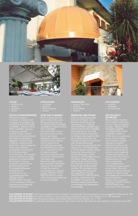



#### UTILIZZI

- 
- 
- 
- 

#### PULIZIA E MANUTENZIONE

in eccesso e i residui solidi di TEXOUT APCO INTENSE CLEANER o TEXOUT APCO FAST CLEANER. Utilizzare Non utilizzare detergenti Come unico solvente l'uso di idropulitrice a bassa pressione con acqua fredda. È consigliato effettuare periodicamente (TEXOUT APCO PROTECTANT) che crea lucentezza e prolungando la durata del tessuto.

## APPLICATIONS

- 
- 
- 
- 

CARE AND CLEANING Remove excess dirt and We recommend the use of TEXOUT APCO INTENSE CLEANER or TEXOUT APCO FAST CLEANER. Do not use strong detergents, alkaline or acid of 1 l of alcohol into 10 l jet cleaner is allowed with product (TEXOUT APCO PROTECTANT) to create as well as durability.



#### ANWENDUNG

- Sonne z. Bsp. Zelte
- 
- 
- 

#### REINIGUNG UND PFLEGE

Entfernen Sie überschüssigen Schmutz mit Wasser. Zum Waschen empfehlen wir die Verwendung von TEXOUT APCO INTENSE CLEANER oder TEXOUTAPCO FAST CLEANER. Verwenden Sie ein Tuch oder Sie Scheuermittel, basische oder säurehaltige Substanzen und Oxydationsmittel wie Hypochlorit oder Wasserstoffperoxyd. Lösung von 1 Liter Ethylalkohol in 10 Liter Wasser erlaubt. Achten Hochdruckreinigern darauf, Spülen Sie den Stoff gründlich bevor Sie das Material wieder aufrollen. Wir empfehlen eine regelmäβige Behandlung mit TEXOUT®APCO PROTECTANT, zu schaffen. Es sorgt für die Wiederherstellung des Glanzes

#### APPLICATIONS

- 
- 
- cnapiteaux<br>• structures fixes

#### NETTOYAGE ET ENTRETIEN

Retirez l'excès de saleté d'utiliser: TEXOUT APCO INTENSE CLEANER ou TEXOUT APCO FAST CLEANER. Utilisez un chiffon doux ou une brosse sodium ou eau oxygénée. éthylique dans 10 litres Il est possible utiliser spécifique (TEXOUT APCO PROTECTANT) pour

COLLEZIONE 2018/2021 I dati tecnici possono subire variazioni a seconda dei lotti di produzione e sono soggetti a tolleranza di ±5% COLLECTION 2018/2021 The technical data can vary according to production lots and are subject to a +/- 5% tolerance. KOLLEKTION 2018/2021 Die technischen Daten sind mittlere Werte mit einer Toleranz von +/- 5%

COLLECTION 2018/2021 Les données techniques peuvent varier selon le lot de fabrication et sont sujettes à une tolérance de ±5%.